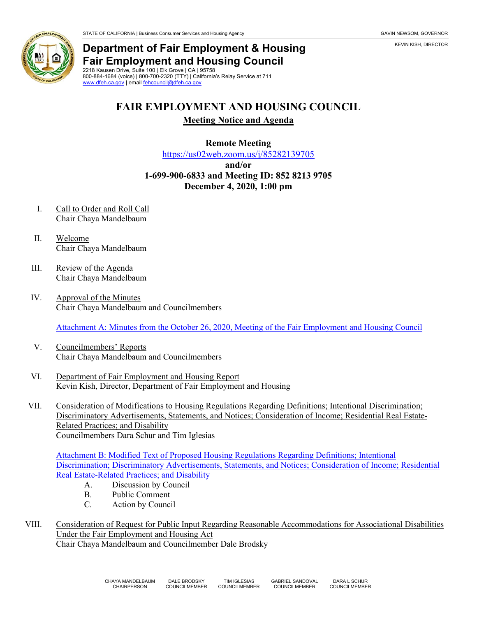

KEVIN KISH, DIRECTOR



## **Department of Fair Employment & Housing Fair Employment and Housing Council**

2218 Kausen Drive, Suite 100 | Elk Grove | CA | 95758 800-884-1684 (voice) | 800-700-2320 (TTY) | California's Relay Service at 711 [www.dfeh.ca.gov](https://www.dfeh.ca.gov/) | email [fehcouncil@dfeh.ca.gov](mailto:fehcouncil@dfeh.ca.gov)

# **FAIR EMPLOYMENT AND HOUSING COUNCIL**

#### **Meeting Notice and Agenda**

#### **Remote Meeting**

<https://us02web.zoom.us/j/85282139705>

**and/or**

### **1-699-900-6833 and Meeting ID: 852 8213 9705 December 4, 2020, 1:00 pm**

- I. Call to Order and Roll Call Chair Chaya Mandelbaum
- II. Welcome Chair Chaya Mandelbaum
- III. Review of the Agenda Chair Chaya Mandelbaum
- IV. Approval of the Minutes Chair Chaya Mandelbaum and Councilmembers

[Attachment A: Minutes from the October 26, 2020, Meeting of the Fair Employment and Housing Council](https://www.dfeh.ca.gov/wp-content/uploads/sites/32/2020/11/AttachA-FEHCMinutes2020Oct26Meeting.pdf)

- V. Councilmembers' Reports Chair Chaya Mandelbaum and Councilmembers
- VI. Department of Fair Employment and Housing Report Kevin Kish, Director, Department of Fair Employment and Housing
- VII. Consideration of Modifications to Housing Regulations Regarding Definitions; Intentional Discrimination; Discriminatory Advertisements, Statements, and Notices; Consideration of Income; Residential Real Estate-Related Practices; and Disability Councilmembers Dara Schur and Tim Iglesias

[Attachment B: Modified Text of Proposed Housing Regulations Regarding Definitions; Intentional](https://www.dfeh.ca.gov/wp-content/uploads/sites/32/2020/11/AttachB-TextHousingRegReIntenionalDiscrimNtcStatmentsAdsIncomeRealEstate.pdf)  [Discrimination; Discriminatory Advertisements, Statements, and Notices; Consideration of Income; Residential](https://www.dfeh.ca.gov/wp-content/uploads/sites/32/2020/11/AttachB-TextHousingRegReIntenionalDiscrimNtcStatmentsAdsIncomeRealEstate.pdf)  [Real Estate-Related Practices; and Disability](https://www.dfeh.ca.gov/wp-content/uploads/sites/32/2020/11/AttachB-TextHousingRegReIntenionalDiscrimNtcStatmentsAdsIncomeRealEstate.pdf)

- A. Discussion by Council
- B. Public Comment
- C. Action by Council
- VIII. Consideration of Request for Public Input Regarding Reasonable Accommodations for Associational Disabilities Under the Fair Employment and Housing Act Chair Chaya Mandelbaum and Councilmember Dale Brodsky